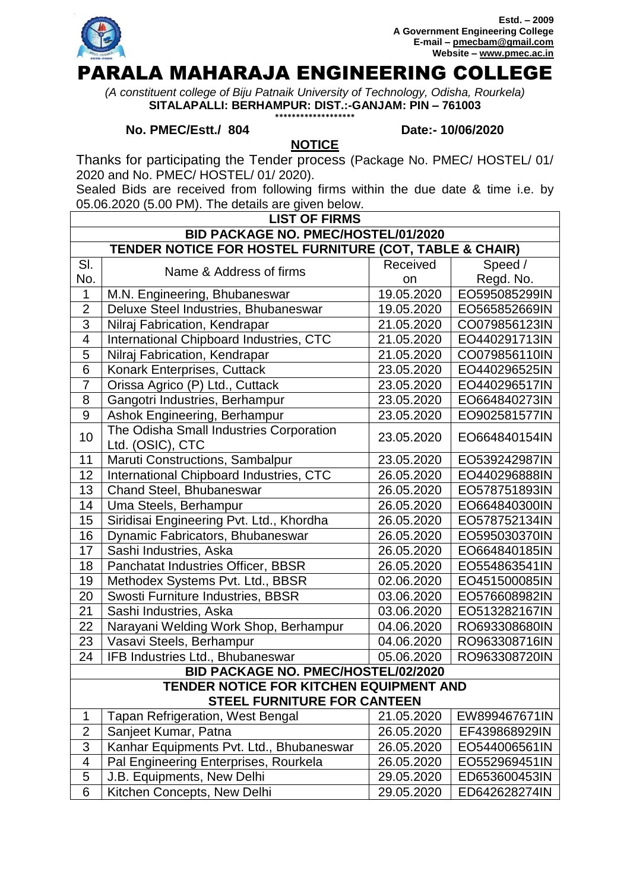

*(A constituent college of Biju Patnaik University of Technology, Odisha, Rourkela)* **SITALAPALLI: BERHAMPUR: DIST.:-GANJAM: PIN – 761003 \*\*\*\*\*\*\*\*\*\*\*\*\*\*\*\*\*\*\***

## **No. PMEC/Estt./ 804 Date:- 10/06/2020**

Thanks for participating the Tender process (Package No. PMEC/ HOSTEL/ 01/ 2020 and No. PMEC/ HOSTEL/ 01/ 2020).

**NOTICE**

Sealed Bids are received from following firms within the due date & time i.e. by 05.06.2020 (5.00 PM). The details are given below.

| <b>LIST OF FIRMS</b>                                                          |                                                             |            |               |  |  |
|-------------------------------------------------------------------------------|-------------------------------------------------------------|------------|---------------|--|--|
| <b>BID PACKAGE NO. PMEC/HOSTEL/01/2020</b>                                    |                                                             |            |               |  |  |
| TENDER NOTICE FOR HOSTEL FURNITURE (COT, TABLE & CHAIR)                       |                                                             |            |               |  |  |
| SI.                                                                           | Name & Address of firms                                     | Received   | Speed /       |  |  |
| No.                                                                           |                                                             | on         | Regd. No.     |  |  |
| $\mathbf{1}$                                                                  | M.N. Engineering, Bhubaneswar                               | 19.05.2020 | EO595085299IN |  |  |
| $\overline{2}$                                                                | Deluxe Steel Industries, Bhubaneswar                        | 19.05.2020 | EO565852669IN |  |  |
| 3                                                                             | Nilraj Fabrication, Kendrapar                               | 21.05.2020 | CO079856123IN |  |  |
| 4                                                                             | International Chipboard Industries, CTC                     | 21.05.2020 | EO440291713IN |  |  |
| 5                                                                             | Nilraj Fabrication, Kendrapar                               | 21.05.2020 | CO079856110IN |  |  |
| 6                                                                             | Konark Enterprises, Cuttack                                 | 23.05.2020 | EO440296525IN |  |  |
| $\overline{7}$                                                                | Orissa Agrico (P) Ltd., Cuttack                             | 23.05.2020 | EO440296517IN |  |  |
| 8                                                                             | Gangotri Industries, Berhampur                              | 23.05.2020 | EO664840273IN |  |  |
| 9                                                                             | Ashok Engineering, Berhampur                                | 23.05.2020 | EO902581577IN |  |  |
| 10                                                                            | The Odisha Small Industries Corporation<br>Ltd. (OSIC), CTC | 23.05.2020 | EO664840154IN |  |  |
| 11                                                                            | Maruti Constructions, Sambalpur                             | 23.05.2020 | EO539242987IN |  |  |
| 12                                                                            | International Chipboard Industries, CTC                     | 26.05.2020 | EO440296888IN |  |  |
| 13                                                                            | Chand Steel, Bhubaneswar                                    | 26.05.2020 | EO578751893IN |  |  |
| 14                                                                            | Uma Steels, Berhampur                                       | 26.05.2020 | EO664840300IN |  |  |
| 15                                                                            | Siridisai Engineering Pvt. Ltd., Khordha                    | 26.05.2020 | EO578752134IN |  |  |
| 16                                                                            | Dynamic Fabricators, Bhubaneswar                            | 26.05.2020 | EO595030370IN |  |  |
| 17                                                                            | Sashi Industries, Aska                                      | 26.05.2020 | EO664840185IN |  |  |
| 18                                                                            | Panchatat Industries Officer, BBSR                          | 26.05.2020 | EO554863541IN |  |  |
| 19                                                                            | Methodex Systems Pvt. Ltd., BBSR                            | 02.06.2020 | EO451500085IN |  |  |
| 20                                                                            | Swosti Furniture Industries, BBSR                           | 03.06.2020 | EO576608982IN |  |  |
| 21                                                                            | Sashi Industries, Aska                                      | 03.06.2020 | EO513282167IN |  |  |
| 22                                                                            | Narayani Welding Work Shop, Berhampur                       | 04.06.2020 | RO693308680IN |  |  |
| 23                                                                            | Vasavi Steels, Berhampur                                    | 04.06.2020 | RO963308716IN |  |  |
| 24                                                                            | IFB Industries Ltd., Bhubaneswar                            | 05.06.2020 | RO963308720IN |  |  |
|                                                                               | <b>BID PACKAGE NO. PMEC/HOSTEL/02/2020</b>                  |            |               |  |  |
| TENDER NOTICE FOR KITCHEN EQUIPMENT AND<br><b>STEEL FURNITURE FOR CANTEEN</b> |                                                             |            |               |  |  |
| 1                                                                             | Tapan Refrigeration, West Bengal                            | 21.05.2020 | EW899467671IN |  |  |
| $\overline{2}$                                                                | Sanjeet Kumar, Patna                                        | 26.05.2020 | EF439868929IN |  |  |
| $\overline{3}$                                                                | Kanhar Equipments Pvt. Ltd., Bhubaneswar                    | 26.05.2020 | EO544006561IN |  |  |
| 4                                                                             | Pal Engineering Enterprises, Rourkela                       | 26.05.2020 | EO552969451IN |  |  |
| 5                                                                             | J.B. Equipments, New Delhi                                  | 29.05.2020 | ED653600453IN |  |  |
| 6                                                                             | Kitchen Concepts, New Delhi                                 | 29.05.2020 | ED642628274IN |  |  |
|                                                                               |                                                             |            |               |  |  |